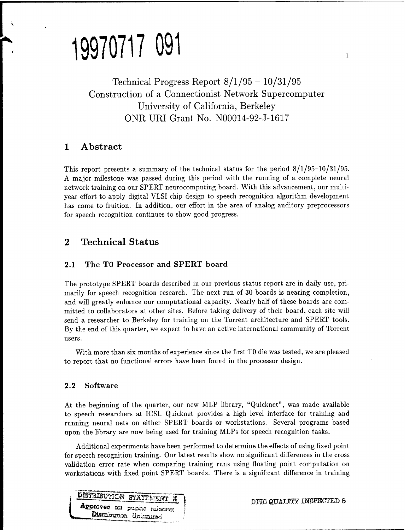

Technical Progress Report 8/1/95 - 10/31/95 Construction of a Connectionist Network Supercomputer University of California, Berkeley ONR URI Grant No. N00014-92-J-1617

## **1 Abstract**

This report presents a summary of the technical status for the period 8/1/95-10/31/95. A major milestone was passed during this period with the running of a complete neural network training on our SPERT neurocomputing board. With this advancement, our multiyear effort to apply digital VLSI chip design to speech recognition algorithm development has come to fruition. In addition, our effort in the area of analog auditory preprocessors for speech recognition continues to show good progress.

## **2 Technical Status**

### **2.1 The TO Processor and SPERT board**

The prototype SPERT boards described in our previous status report are in daily use, primarily for speech recognition research. The next run of 30 boards is nearing completion, and will greatly enhance our computational capacity. Nearly half of these boards are committed to collaborators at other sites. Before taking delivery of their board, each site will send a researcher to Berkeley for training on the Torrent architecture and SPERT tools. By the end of this quarter, we expect to have an active international community of Torrent users.

With more than six months of experience since the first TO die was tested, we are pleased to report that no functional errors have been found in the processor design.

### **2.2 Software**

At the beginning of the quarter, our new MLP library, "Quicknet", was made available to speech researchers at ICSI. Quicknet provides a high level interface for training and running neural nets on either SPERT boards or workstations. Several programs based upon the library are now being used for training MLPs for speech recognition tasks.

Additional experiments have been performed to determine the effects of using fixed point for speech recognition training. Our latest results show no significant differences in the cross validation error rate when comparing training runs using floating point computation on workstations with fixed point SPERT boards. There is a significant difference in training



**DTIC QUALITY INSPECTED 8** 

 $\mathbf{1}$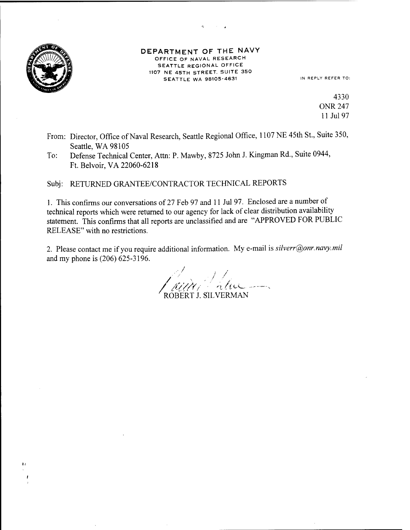

#### DEPARTMENT OF THE NAVY OFFICE OF NAVAL RESEARCH SEATTLE REGIONAL OFFICE 1107 NE 45TH STREET. SUITE 350 SEATTLE WA 98105-4631 IN REPLY REFER TO:

4330 ONR 247 11 Jul 97

- From: Director, Office of Naval Research, Seattle Regional Office, 1107 NE 45th St., Suite 350, Seattle, WA 98105
- To: Defense Technical Center, Atta: P. Mawby, 8725 John J. Kingman Rd., Suite 0944, Ft. Belvoir,VA 22060-6218

Subj: RETURNED GRANTEE/CONTRACTOR TECHNICAL REPORTS

1. This confirms our conversations of 27 Feb 97 and <sup>11</sup> Jul 97. Enclosed are a number of technical reports which were returned to our agency for lack of clear distribution availability statement. This confirms that all reports are unclassified and are "APPROVED FOR PUBLIC RELEASE" with no restrictions.

2. Please contact me if you require additional information. My e-mail is *silverr@onr.navy.mil* and my phone is (206) 625-3196.

/<br>12 . ,// ROBERT J. SILVERMAN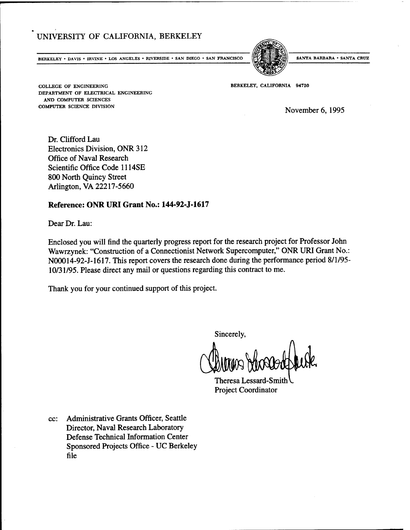## UNIVERSITY OF CALIFORNIA, BERKELEY

BERKELEY · DAVIS · IRVINE · LOS ANGELES · RIVERSIDE · SAN DIEGO · SAN FRANCISCO [PERECALEY] SANTA BARBARA · SANTA CRUZ



**BERKELEY, CALIFORNIA 94720**

**COLLEGE OF ENGINEERING DEPARTMENT OF ELECTRICAL ENGINEERING AND COMPUTER SCIENCES COMPUTER SCIENCE DIVISION**

November 6, 1995

Dr. Clifford Lau Electronics Division, ONR 312 Office of Naval Research Scientific Office Code 1114SE 800 North Quincy Street Arlington, VA 22217-5660

### **Reference: ONR URI Grant No.: 144-92-J-1617**

Dear Dr. Lau:

Enclosed you will find the quarterly progress report for the research project for Professor John Wawrzynek: "Construction of a Connectionist Network Supercomputer," ONR URI Grant No.: N00014-92-J-1617. This report covers the research done during the performance period 8/1/95- 10/31/95. Please direct any mail or questions regarding this contract to me.

Thank you for your continued support of this project.

Sincerely,

Theresa Lessard-Smith V Project Coordinator

cc: Administrative Grants Officer, Seattle Director, Naval Research Laboratory Defense Technical Information Center Sponsored Projects Office - UC Berkeley file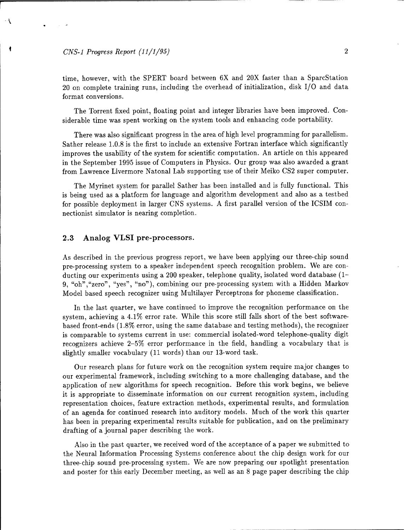$\cdot \mathcal{F}$ 

4

time, however, with the SPERT board between 6X and 20X faster than a SparcStation 20 on complete training runs, including the overhead of initialization, disk I/O and data format conversions.

The Torrent fixed point, floating point and integer libraries have been improved. Considerable time was spent working on the system tools and enhancing code portability.

There was also significant progress in the area of high level programming for parallelism. Sather release 1.0.8 is the first to include an extensive Fortran interface which significantly improves the usability of the system for scientific computation. An article on this appeared in the September 1995 issue of Computers in Physics. Our group was also awarded a grant from Lawrence Livermore Natonal Lab supporting use of their Meiko CS2 super computer.

The Myrinet system for parallel Sather has been installed and is fully functional. This is being used as a platform for language and algorithm development and also as a testbed for possible deployment in larger CNS systems. A first parallel version of the ICSIM connectionist simulator is nearing completion.

### **2.3 Analog VLSI pre-processors.**

As described in the previous progress report, we have been applying our three-chip sound pre-processing system to a speaker independent speech recognition problem. We are conducting our experiments using a 200 speaker, telephone quality, isolated word database (1- 9, "oh","zero", "yes", "no"), combining our pre-processing system with a Hidden Markov Model based speech recognizer using Multilayer Perceptrons for phoneme classification.

In the last quarter, we have continued to improve the recognition performance on the system, achieving a 4.1% error rate. While this score still falls short of the best softwarebased front-ends (1.8% error, using the same database and testing methods), the recognizer is comparable to systems current in use: commercial isolated-word telephone-quality digit recognizers achieve 2-5% error performance in the field, handling a vocabulary that is slightly smaller vocabulary (11 words) than our 13-word task.

Our research plans for future work on the recognition system require major changes to our experimental framework, including switching to a more challenging database, and the application of new algorithms for speech recognition. Before this work begins, we believe it is appropriate to disseminate information on our current recognition system, including representation choices, feature extraction methods, experimental results, and formulation of an agenda for continued research into auditory models. Much of the work this quarter has been in preparing experimental results suitable for publication, and on the preliminary drafting of a journal paper describing the work.

Also in the past quarter, we received word of the acceptance of a paper we submitted to the Neural Information Processing Systems conference about the chip design work for our three-chip sound pre-processing system. We are now preparing our spotlight presentation and poster for this early December meeting, as well as an 8 page paper describing the chip